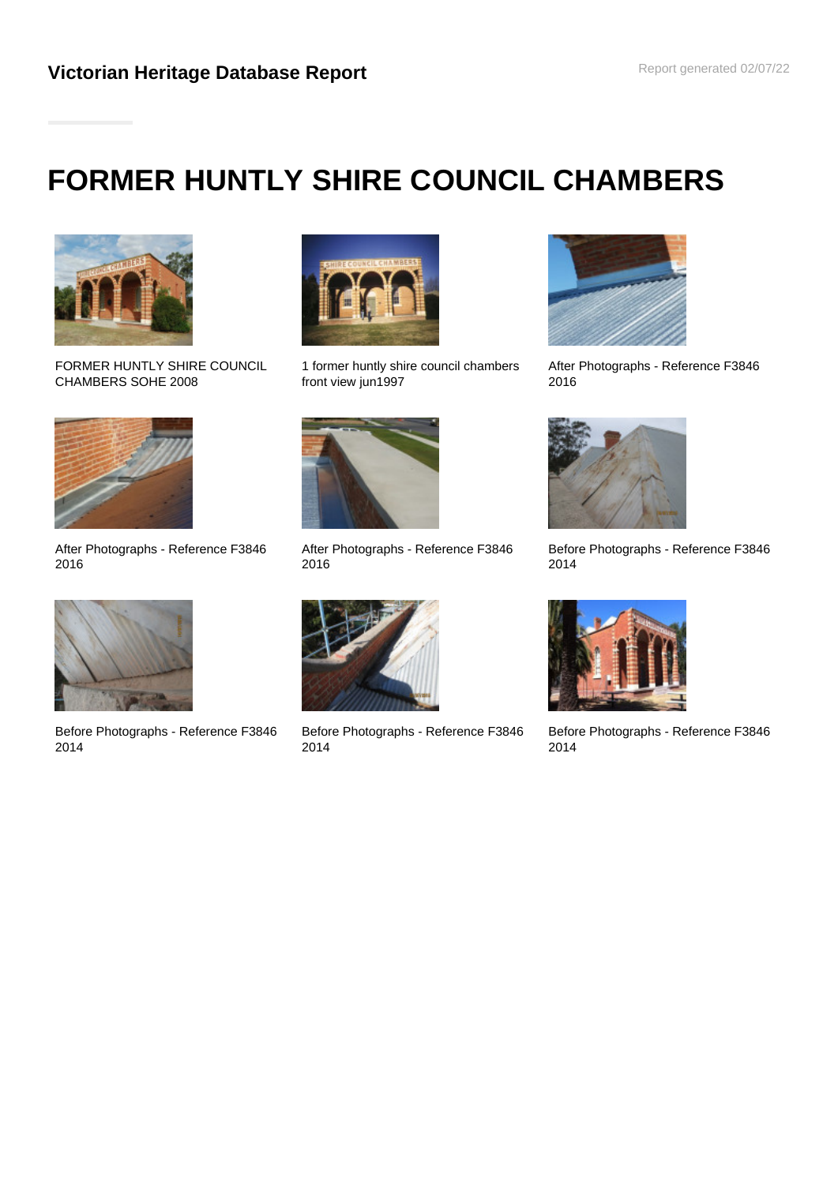# **FORMER HUNTLY SHIRE COUNCIL CHAMBERS**



FORMER HUNTLY SHIRE COUNCIL CHAMBERS SOHE 2008



After Photographs - Reference F3846 2016



Before Photographs - Reference F3846 2014



1 former huntly shire council chambers front view jun1997



After Photographs - Reference F3846 2016



Before Photographs - Reference F3846 2014



After Photographs - Reference F3846 2016



Before Photographs - Reference F3846 2014



Before Photographs - Reference F3846 2014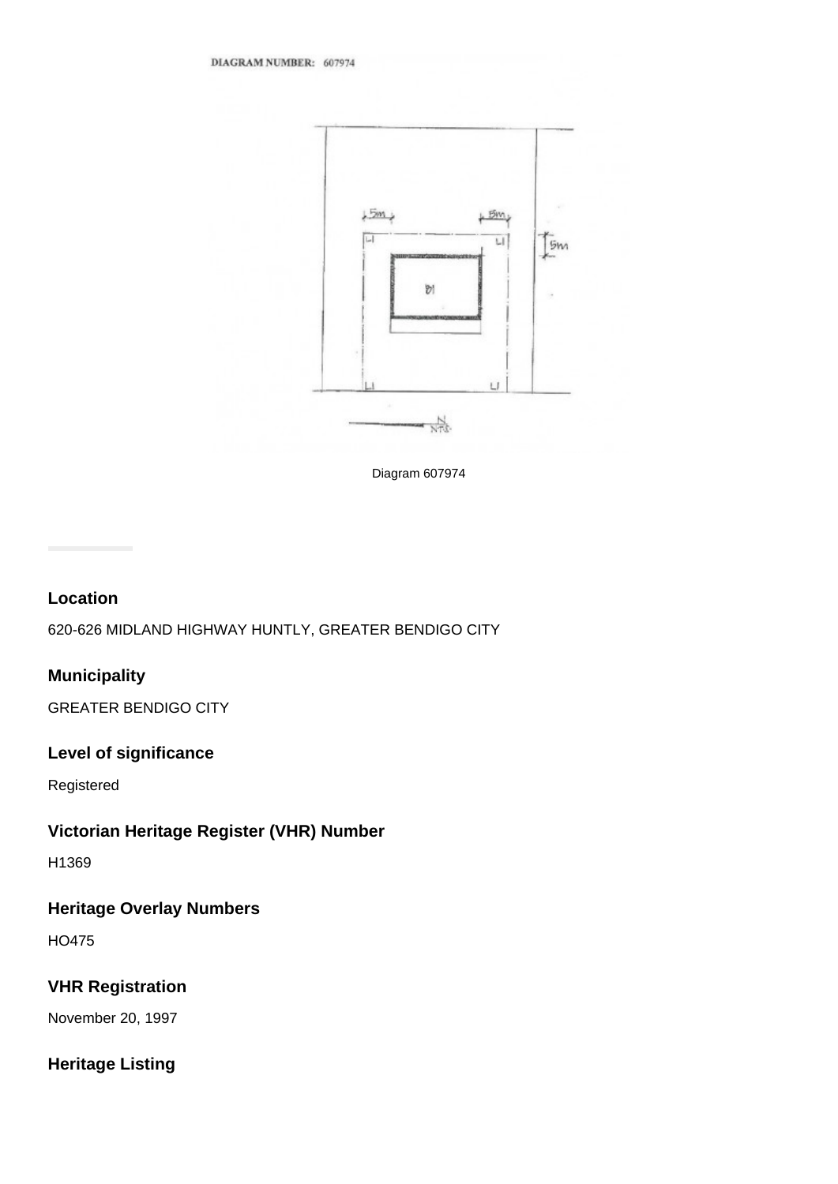

Diagram 607974

#### **Location**

620-626 MIDLAND HIGHWAY HUNTLY, GREATER BENDIGO CITY

### **Municipality**

GREATER BENDIGO CITY

#### **Level of significance**

Registered

# **Victorian Heritage Register (VHR) Number**

H1369

# **Heritage Overlay Numbers**

HO475

# **VHR Registration**

November 20, 1997

# **Heritage Listing**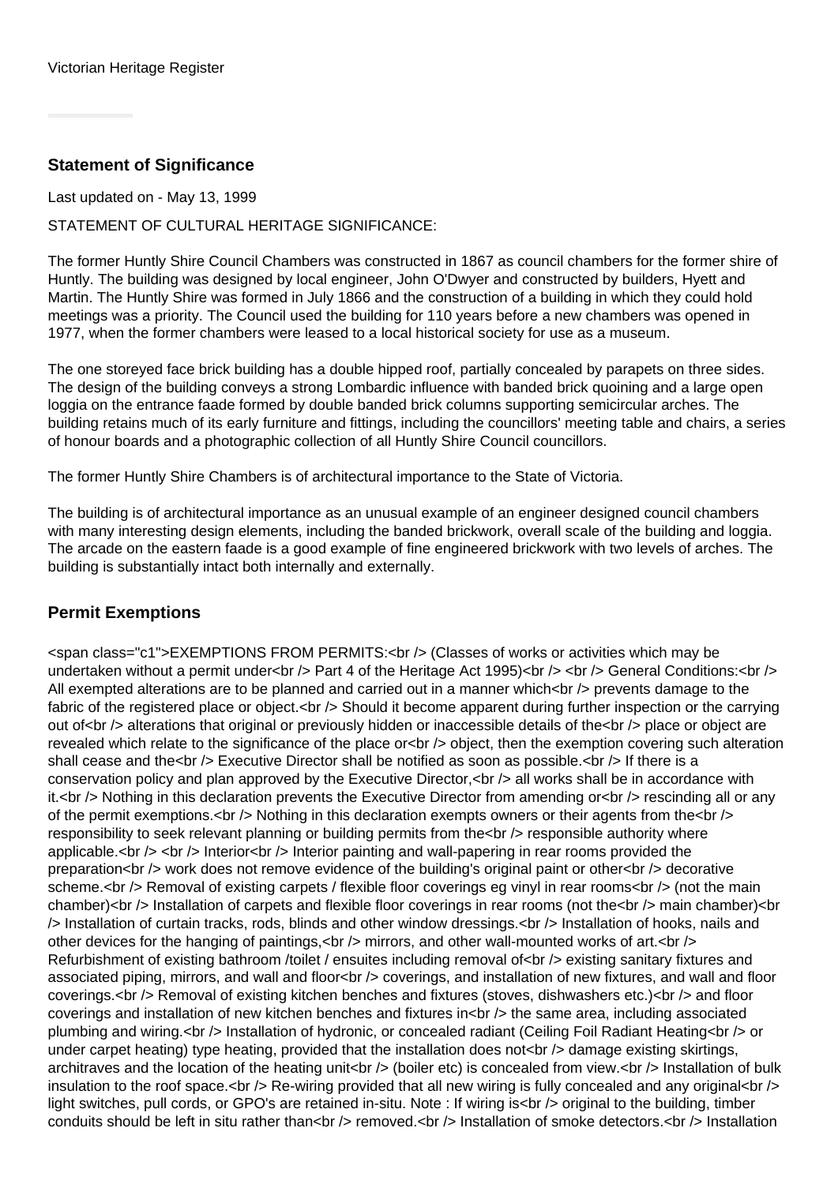### **Statement of Significance**

Last updated on - May 13, 1999

STATEMENT OF CULTURAL HERITAGE SIGNIFICANCE:

The former Huntly Shire Council Chambers was constructed in 1867 as council chambers for the former shire of Huntly. The building was designed by local engineer, John O'Dwyer and constructed by builders, Hyett and Martin. The Huntly Shire was formed in July 1866 and the construction of a building in which they could hold meetings was a priority. The Council used the building for 110 years before a new chambers was opened in 1977, when the former chambers were leased to a local historical society for use as a museum.

The one storeyed face brick building has a double hipped roof, partially concealed by parapets on three sides. The design of the building conveys a strong Lombardic influence with banded brick quoining and a large open loggia on the entrance faade formed by double banded brick columns supporting semicircular arches. The building retains much of its early furniture and fittings, including the councillors' meeting table and chairs, a series of honour boards and a photographic collection of all Huntly Shire Council councillors.

The former Huntly Shire Chambers is of architectural importance to the State of Victoria.

The building is of architectural importance as an unusual example of an engineer designed council chambers with many interesting design elements, including the banded brickwork, overall scale of the building and loggia. The arcade on the eastern faade is a good example of fine engineered brickwork with two levels of arches. The building is substantially intact both internally and externally.

## **Permit Exemptions**

<span class="c1">EXEMPTIONS FROM PERMITS:<br /> (Classes of works or activities which may be undertaken without a permit under<br />> $\geq$  Part 4 of the Heritage Act 1995)<br />>  $\geq$  of /> General Conditions:<br /> All exempted alterations are to be planned and carried out in a manner which $\lt$   $\lt$  prevents damage to the fabric of the registered place or object.<br />> $\geq$  Should it become apparent during further inspection or the carrying out of<br /> alterations that original or previously hidden or inaccessible details of the<br /> place or object are revealed which relate to the significance of the place or<br />> object, then the exemption covering such alteration shall cease and the<br /> Executive Director shall be notified as soon as possible.<br />If there is a conservation policy and plan approved by the Executive Director, < br /> all works shall be in accordance with it.<br />> Nothing in this declaration prevents the Executive Director from amending or<br />
rescinding all or any of the permit exemptions. $\langle$ br  $/$ > Nothing in this declaration exempts owners or their agents from the $\langle$ br  $/$ > responsibility to seek relevant planning or building permits from the<br /> responsible authority where applicable.<br />  $\epsilon$  /> Interior<br /> Interior painting and wall-papering in rear rooms provided the preparation<br /> work does not remove evidence of the building's original paint or other<br />
lecorative scheme.<br /> Removal of existing carpets / flexible floor coverings eg vinyl in rear rooms<br /> (not the main chamber)<br /> Installation of carpets and flexible floor coverings in rear rooms (not the<br />
localin chamber)<br />
localin chamber)<br />
localin chamber)<br />
localin chamber)<br />
localin chamber)<br />
localin ch /> Installation of curtain tracks, rods, blinds and other window dressings.<br /> Installation of hooks, nails and other devices for the hanging of paintings, <br /> mirrors, and other wall-mounted works of art.<br />> Refurbishment of existing bathroom /toilet / ensuites including removal of<br /> existing sanitary fixtures and associated piping, mirrors, and wall and floor<br />> coverings, and installation of new fixtures, and wall and floor coverings.<br /> Removal of existing kitchen benches and fixtures (stoves, dishwashers etc.)<br /> and floor coverings and installation of new kitchen benches and fixtures in<br />
the same area, including associated plumbing and wiring.<br />Installation of hydronic, or concealed radiant (Ceiling Foil Radiant Heating<br />>> or under carpet heating) type heating, provided that the installation does not < br /> damage existing skirtings, architraves and the location of the heating unit<br />> (boiler etc) is concealed from view.<br />> Installation of bulk insulation to the roof space.<br /> $>$  Re-wiring provided that all new wiring is fully concealed and any original<br/>solvently in light switches, pull cords, or GPO's are retained in-situ. Note : If wiring is<br /> original to the building, timber conduits should be left in situ rather than<br /> $\geq$  removed.<br />> $\geq$  Installation of smoke detectors.<br />>>> Installation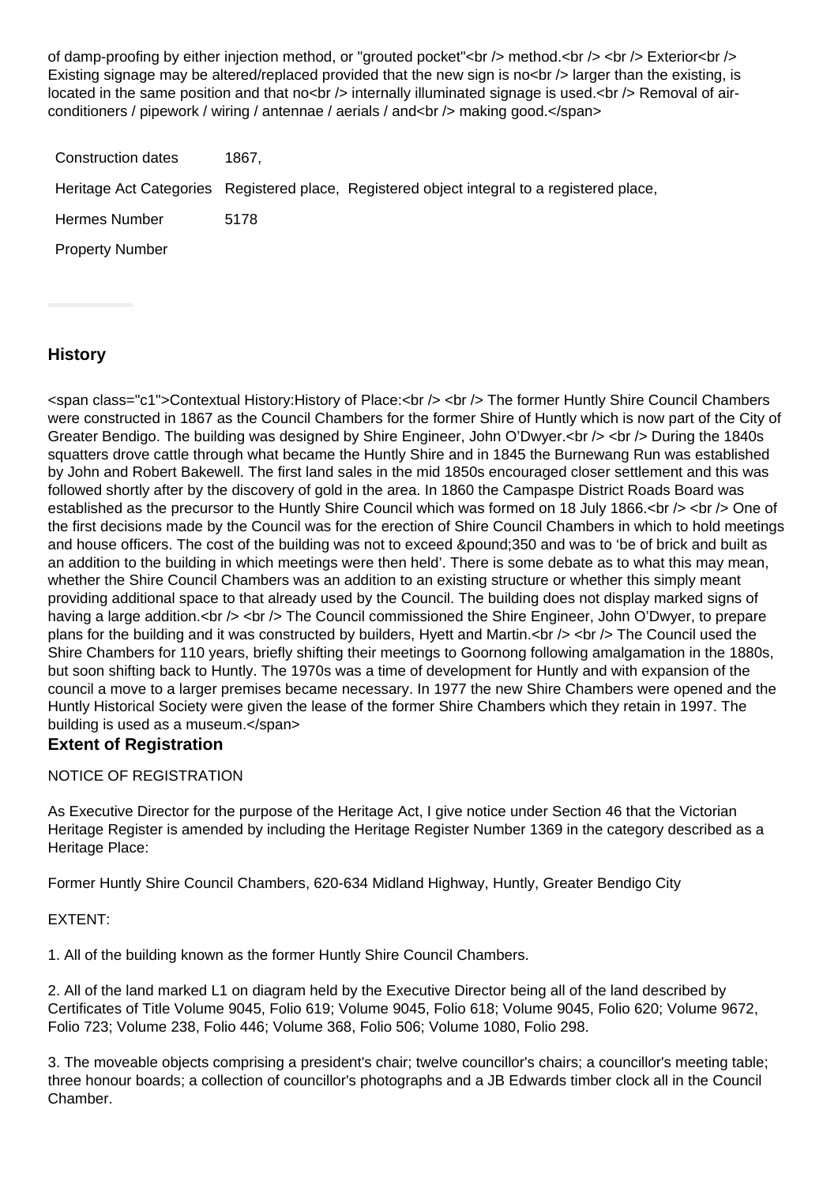of damp-proofing by either injection method, or "grouted pocket"<br />> method.<br />> <br />> Exterior<br />> Existing signage may be altered/replaced provided that the new sign is no<br />larger than the existing, is located in the same position and that no<br  $/$ > internally illuminated signage is used.<br  $/$ > Removal of airconditioners / pipework / wiring / antennae / aerials / and<br/>shanding good.</span>

| Construction dates     | 1867. |                                                                                             |
|------------------------|-------|---------------------------------------------------------------------------------------------|
|                        |       | Heritage Act Categories Registered place, Registered object integral to a registered place, |
| Hermes Number          | 5178  |                                                                                             |
| <b>Property Number</b> |       |                                                                                             |

## **History**

<span class="c1">Contextual History:History of Place:<br /> <br /> The former Huntly Shire Council Chambers were constructed in 1867 as the Council Chambers for the former Shire of Huntly which is now part of the City of Greater Bendigo. The building was designed by Shire Engineer, John O'Dwyer.<br />>>>>> <br />> During the 1840s squatters drove cattle through what became the Huntly Shire and in 1845 the Burnewang Run was established by John and Robert Bakewell. The first land sales in the mid 1850s encouraged closer settlement and this was followed shortly after by the discovery of gold in the area. In 1860 the Campaspe District Roads Board was established as the precursor to the Huntly Shire Council which was formed on 18 July 1866.<br />> <br />> <br />> One of the first decisions made by the Council was for the erection of Shire Council Chambers in which to hold meetings and house officers. The cost of the building was not to exceed &pound: 350 and was to 'be of brick and built as an addition to the building in which meetings were then held'. There is some debate as to what this may mean, whether the Shire Council Chambers was an addition to an existing structure or whether this simply meant providing additional space to that already used by the Council. The building does not display marked signs of having a large addition.<br />> <br />The Council commissioned the Shire Engineer, John O'Dwyer, to prepare plans for the building and it was constructed by builders, Hyett and Martin. $\langle$ br  $\rangle$   $\langle$ br  $\rangle$  The Council used the Shire Chambers for 110 years, briefly shifting their meetings to Goornong following amalgamation in the 1880s, but soon shifting back to Huntly. The 1970s was a time of development for Huntly and with expansion of the council a move to a larger premises became necessary. In 1977 the new Shire Chambers were opened and the Huntly Historical Society were given the lease of the former Shire Chambers which they retain in 1997. The building is used as a museum.</span>

#### **Extent of Registration**

#### NOTICE OF REGISTRATION

As Executive Director for the purpose of the Heritage Act, I give notice under Section 46 that the Victorian Heritage Register is amended by including the Heritage Register Number 1369 in the category described as a Heritage Place:

Former Huntly Shire Council Chambers, 620-634 Midland Highway, Huntly, Greater Bendigo City

#### EXTENT:

1. All of the building known as the former Huntly Shire Council Chambers.

2. All of the land marked L1 on diagram held by the Executive Director being all of the land described by Certificates of Title Volume 9045, Folio 619; Volume 9045, Folio 618; Volume 9045, Folio 620; Volume 9672, Folio 723; Volume 238, Folio 446; Volume 368, Folio 506; Volume 1080, Folio 298.

3. The moveable objects comprising a president's chair; twelve councillor's chairs; a councillor's meeting table; three honour boards; a collection of councillor's photographs and a JB Edwards timber clock all in the Council Chamber.